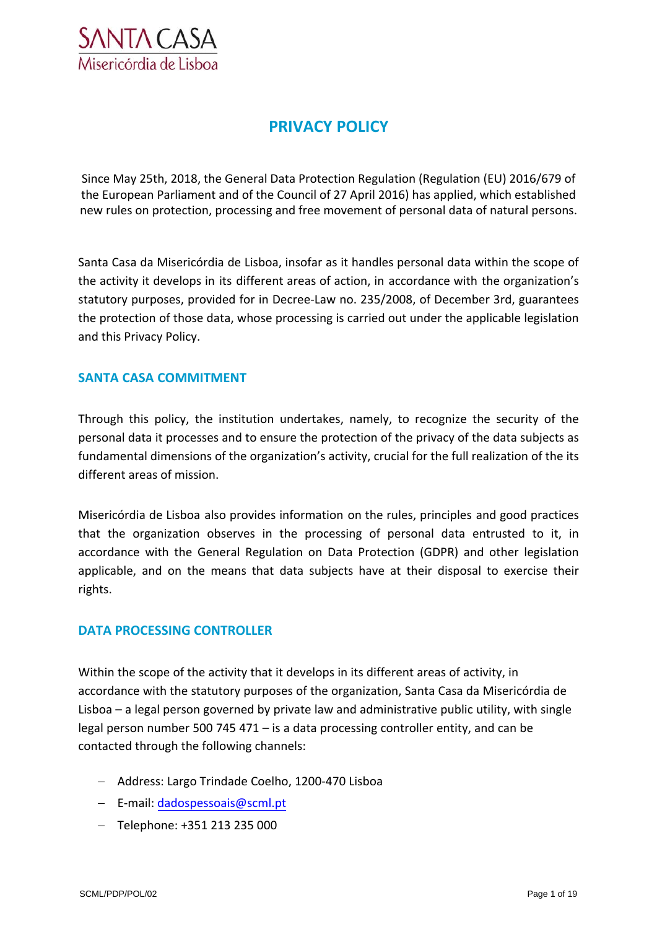

# **PRIVACY POLICY**

Since May 25th, 2018, the General Data Protection Regulation (Regulation (EU) 2016/679 of the European Parliament and of the Council of 27 April 2016) has applied, which established new rules on protection, processing and free movement of personal data of natural persons.

Santa Casa da Misericórdia de Lisboa, insofar as it handles personal data within the scope of the activity it develops in its different areas of action, in accordance with the organization's statutory purposes, provided for in Decree-Law no. 235/2008, of December 3rd, guarantees the protection of those data, whose processing is carried out under the applicable legislation and this Privacy Policy.

# **SANTA CASA COMMITMENT**

Through this policy, the institution undertakes, namely, to recognize the security of the personal data it processes and to ensure the protection of the privacy of the data subjects as fundamental dimensions of the organization's activity, crucial for the full realization of the its different areas of mission.

Misericórdia de Lisboa also provides information on the rules, principles and good practices that the organization observes in the processing of personal data entrusted to it, in accordance with the General Regulation on Data Protection (GDPR) and other legislation applicable, and on the means that data subjects have at their disposal to exercise their rights.

# **DATA PROCESSING CONTROLLER**

Within the scope of the activity that it develops in its different areas of activity, in accordance with the statutory purposes of the organization, Santa Casa da Misericórdia de Lisboa – a legal person governed by private law and administrative public utility, with single legal person number 500 745 471 – is a data processing controller entity, and can be contacted through the following channels:

- Address: Largo Trindade Coelho, 1200-470 Lisboa
- E-mail: [dadospessoais@scml.pt](mailto:dadospessoais@scml.pt)
- $-$  Telephone: +351 213 235 000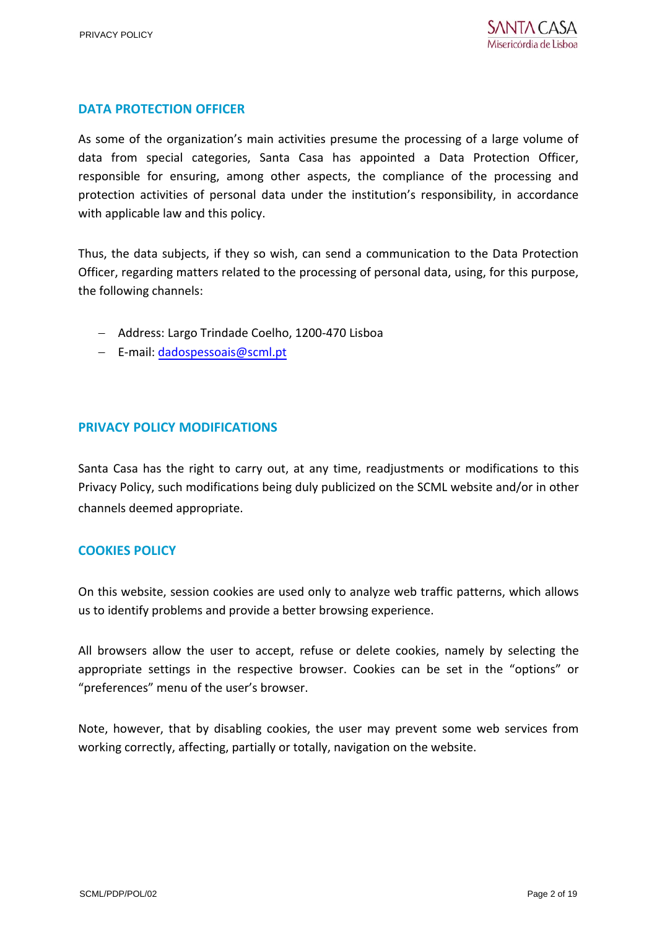# **DATA PROTECTION OFFICER**

As some of the organization's main activities presume the processing of a large volume of data from special categories, Santa Casa has appointed a Data Protection Officer, responsible for ensuring, among other aspects, the compliance of the processing and protection activities of personal data under the institution's responsibility, in accordance with applicable law and this policy.

Thus, the data subjects, if they so wish, can send a communication to the Data Protection Officer, regarding matters related to the processing of personal data, using, for this purpose, the following channels:

- Address: Largo Trindade Coelho, 1200-470 Lisboa
- E-mai[l: dadospessoais@scml.pt](mailto:dadospessoais@scml.pt)

# **PRIVACY POLICY MODIFICATIONS**

Santa Casa has the right to carry out, at any time, readjustments or modifications to this Privacy Policy, such modifications being duly publicized on the SCML website and/or in other channels deemed appropriate.

## **COOKIES POLICY**

On this website, session cookies are used only to analyze web traffic patterns, which allows us to identify problems and provide a better browsing experience.

All browsers allow the user to accept, refuse or delete cookies, namely by selecting the appropriate settings in the respective browser. Cookies can be set in the "options" or "preferences" menu of the user's browser.

Note, however, that by disabling cookies, the user may prevent some web services from working correctly, affecting, partially or totally, navigation on the website.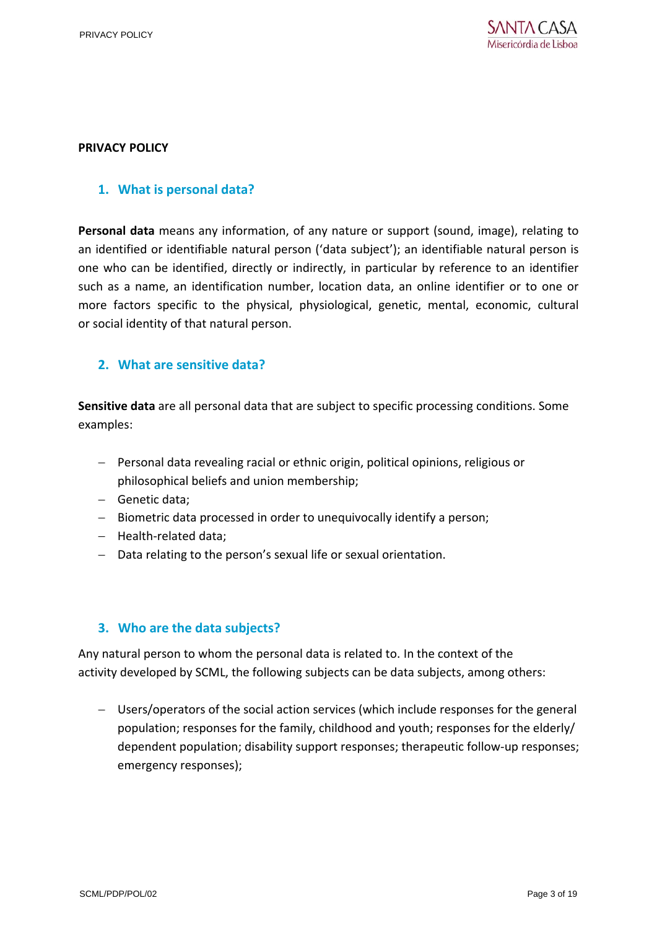#### **PRIVACY POLICY**

## **1. What is personal data?**

**Personal data** means any information, of any nature or support (sound, image), relating to an identified or identifiable natural person ('data subject'); an identifiable natural person is one who can be identified, directly or indirectly, in particular by reference to an identifier such as a name, an identification number, location data, an online identifier or to one or more factors specific to the physical, physiological, genetic, mental, economic, cultural or social identity of that natural person.

## **2. What are sensitive data?**

**Sensitive data** are all personal data that are subject to specific processing conditions. Some examples:

- Personal data revealing racial or ethnic origin, political opinions, religious or philosophical beliefs and union membership;
- Genetic data;
- Biometric data processed in order to unequivocally identify a person;
- Health-related data;
- Data relating to the person's sexual life or sexual orientation.

## **3. Who are the data subjects?**

Any natural person to whom the personal data is related to. In the context of the activity developed by SCML, the following subjects can be data subjects, among others:

 Users/operators of the social action services (which include responses for the general population; responses for the family, childhood and youth; responses for the elderly/ dependent population; disability support responses; therapeutic follow-up responses; emergency responses);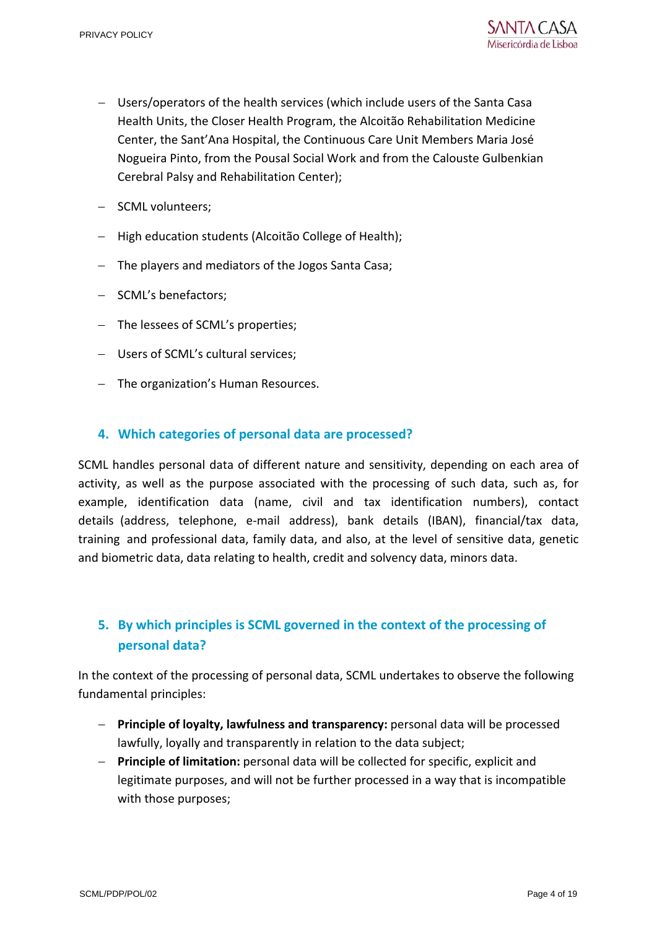- Users/operators of the health services (which include users of the Santa Casa Health Units, the Closer Health Program, the Alcoitão Rehabilitation Medicine Center, the Sant'Ana Hospital, the Continuous Care Unit Members Maria José Nogueira Pinto, from the Pousal Social Work and from the Calouste Gulbenkian Cerebral Palsy and Rehabilitation Center);
- SCML volunteers;
- High education students (Alcoitão College of Health);
- The players and mediators of the Jogos Santa Casa;
- SCML's benefactors;
- The lessees of SCML's properties;
- Users of SCML's cultural services;
- The organization's Human Resources.

# **4. Which categories of personal data are processed?**

SCML handles personal data of different nature and sensitivity, depending on each area of activity, as well as the purpose associated with the processing of such data, such as, for example, identification data (name, civil and tax identification numbers), contact details (address, telephone, e-mail address), bank details (IBAN), financial/tax data, training and professional data, family data, and also, at the level of sensitive data, genetic and biometric data, data relating to health, credit and solvency data, minors data.

# **5. By which principles is SCML governed in the context of the processing of personal data?**

In the context of the processing of personal data, SCML undertakes to observe the following fundamental principles:

- **Principle of loyalty, lawfulness and transparency:** personal data will be processed lawfully, loyally and transparently in relation to the data subject;
- **Principle of limitation:** personal data will be collected for specific, explicit and legitimate purposes, and will not be further processed in a way that is incompatible with those purposes;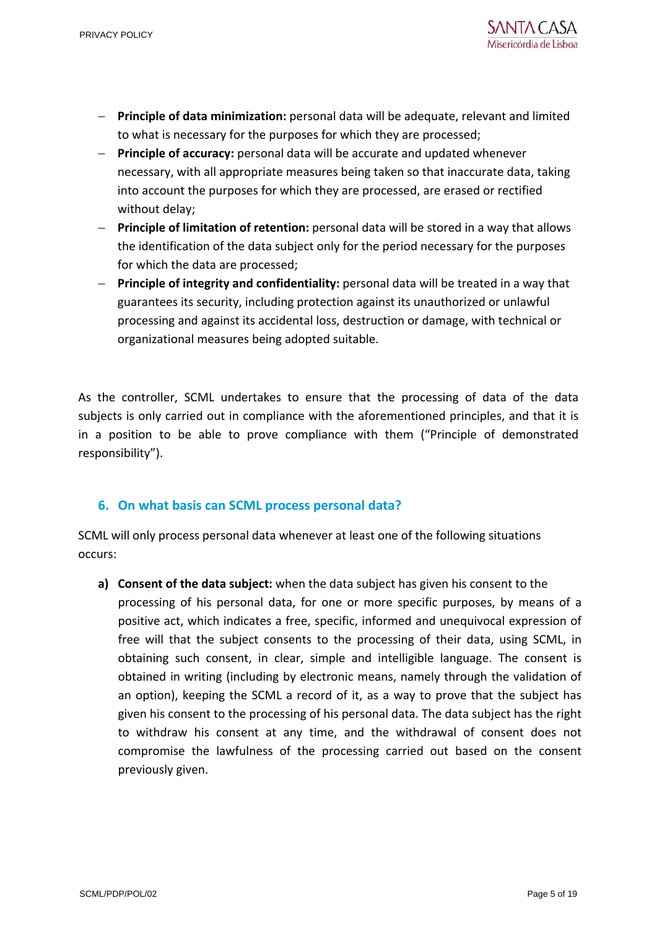- **Principle of data minimization:** personal data will be adequate, relevant and limited to what is necessary for the purposes for which they are processed;
- **Principle of accuracy:** personal data will be accurate and updated whenever necessary, with all appropriate measures being taken so that inaccurate data, taking into account the purposes for which they are processed, are erased or rectified without delay;
- **Principle of limitation of retention:** personal data will be stored in a way that allows the identification of the data subject only for the period necessary for the purposes for which the data are processed;
- **Principle of integrity and confidentiality:** personal data will be treated in a way that guarantees its security, including protection against its unauthorized or unlawful processing and against its accidental loss, destruction or damage, with technical or organizational measures being adopted suitable.

As the controller, SCML undertakes to ensure that the processing of data of the data subjects is only carried out in compliance with the aforementioned principles, and that it is in a position to be able to prove compliance with them ("Principle of demonstrated responsibility").

# **6. On what basis can SCML process personal data?**

SCML will only process personal data whenever at least one of the following situations occurs:

**a) Consent of the data subject:** when the data subject has given his consent to the processing of his personal data, for one or more specific purposes, by means of a positive act, which indicates a free, specific, informed and unequivocal expression of free will that the subject consents to the processing of their data, using SCML, in obtaining such consent, in clear, simple and intelligible language. The consent is obtained in writing (including by electronic means, namely through the validation of an option), keeping the SCML a record of it, as a way to prove that the subject has given his consent to the processing of his personal data. The data subject has the right to withdraw his consent at any time, and the withdrawal of consent does not compromise the lawfulness of the processing carried out based on the consent previously given.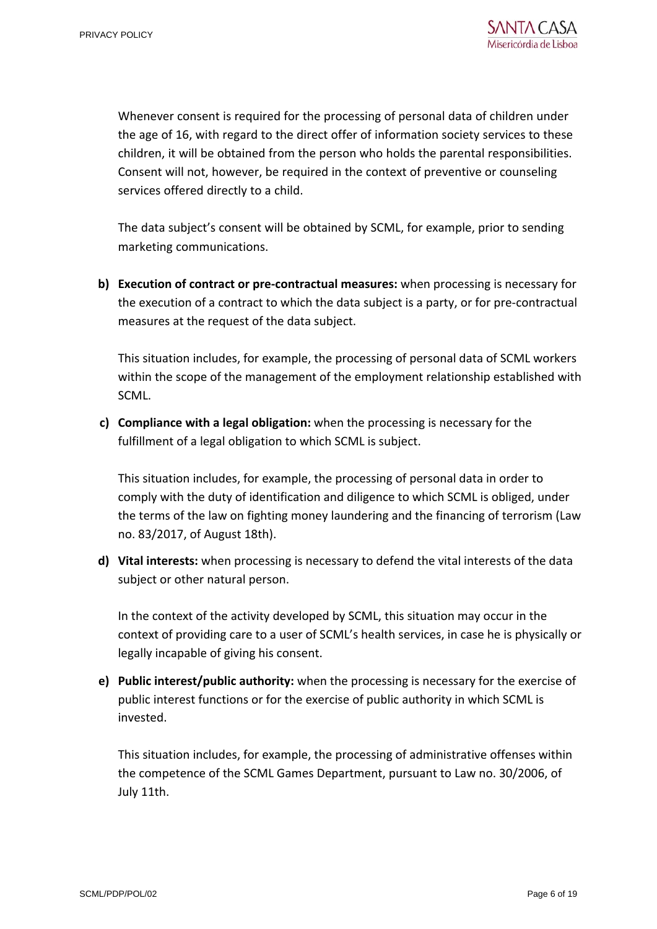Whenever consent is required for the processing of personal data of children under the age of 16, with regard to the direct offer of information society services to these children, it will be obtained from the person who holds the parental responsibilities. Consent will not, however, be required in the context of preventive or counseling services offered directly to a child.

The data subject's consent will be obtained by SCML, for example, prior to sending marketing communications.

**b) Execution of contract or pre-contractual measures:** when processing is necessary for the execution of a contract to which the data subject is a party, or for pre-contractual measures at the request of the data subject.

This situation includes, for example, the processing of personal data of SCML workers within the scope of the management of the employment relationship established with SCML.

**c) Compliance with a legal obligation:** when the processing is necessary for the fulfillment of a legal obligation to which SCML is subject.

This situation includes, for example, the processing of personal data in order to comply with the duty of identification and diligence to which SCML is obliged, under the terms of the law on fighting money laundering and the financing of terrorism (Law no. 83/2017, of August 18th).

**d) Vital interests:** when processing is necessary to defend the vital interests of the data subject or other natural person.

In the context of the activity developed by SCML, this situation may occur in the context of providing care to a user of SCML's health services, in case he is physically or legally incapable of giving his consent.

**e) Public interest/public authority:** when the processing is necessary for the exercise of public interest functions or for the exercise of public authority in which SCML is invested.

This situation includes, for example, the processing of administrative offenses within the competence of the SCML Games Department, pursuant to Law no. 30/2006, of July 11th.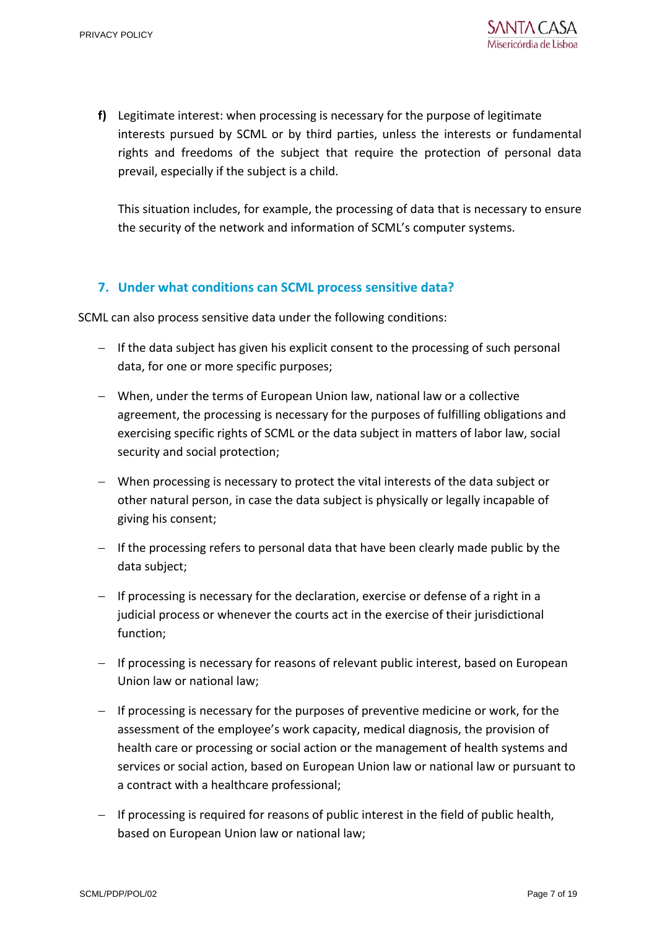**f)** Legitimate interest: when processing is necessary for the purpose of legitimate interests pursued by SCML or by third parties, unless the interests or fundamental rights and freedoms of the subject that require the protection of personal data prevail, especially if the subject is a child.

This situation includes, for example, the processing of data that is necessary to ensure the security of the network and information of SCML's computer systems.

# **7. Under what conditions can SCML process sensitive data?**

SCML can also process sensitive data under the following conditions:

- $-$  If the data subject has given his explicit consent to the processing of such personal data, for one or more specific purposes;
- When, under the terms of European Union law, national law or a collective agreement, the processing is necessary for the purposes of fulfilling obligations and exercising specific rights of SCML or the data subject in matters of labor law, social security and social protection;
- When processing is necessary to protect the vital interests of the data subject or other natural person, in case the data subject is physically or legally incapable of giving his consent;
- If the processing refers to personal data that have been clearly made public by the data subject;
- $-I$  If processing is necessary for the declaration, exercise or defense of a right in a judicial process or whenever the courts act in the exercise of their jurisdictional function;
- If processing is necessary for reasons of relevant public interest, based on European Union law or national law;
- $-I$  If processing is necessary for the purposes of preventive medicine or work, for the assessment of the employee's work capacity, medical diagnosis, the provision of health care or processing or social action or the management of health systems and services or social action, based on European Union law or national law or pursuant to a contract with a healthcare professional;
- $-I$  If processing is required for reasons of public interest in the field of public health, based on European Union law or national law;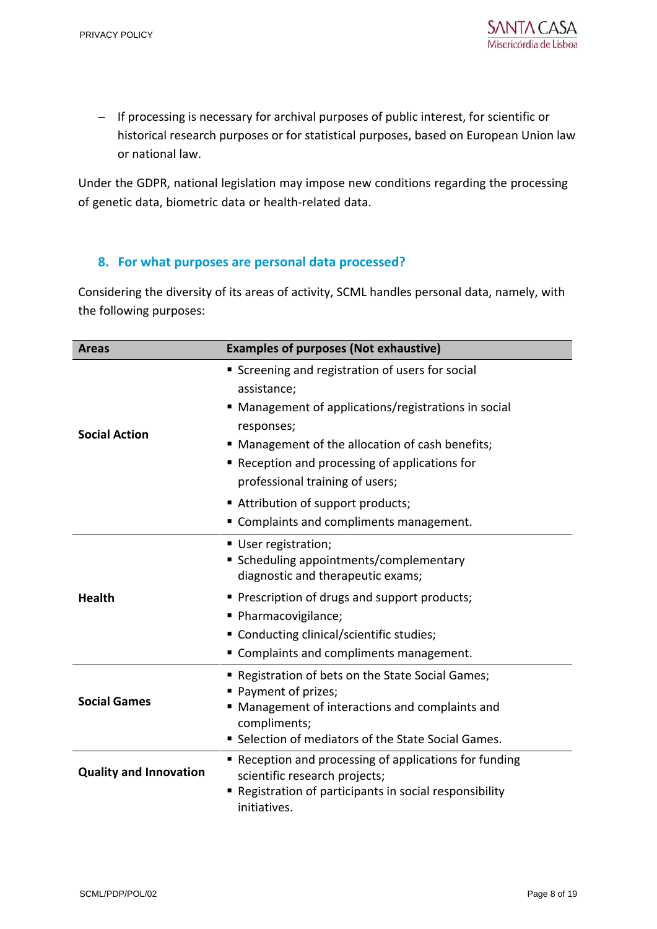- If processing is necessary for archival purposes of public interest, for scientific or historical research purposes or for statistical purposes, based on European Union law or national law.

Under the GDPR, national legislation may impose new conditions regarding the processing of genetic data, biometric data or health-related data.

# **8. For what purposes are personal data processed?**

Considering the diversity of its areas of activity, SCML handles personal data, namely, with the following purposes:

| <b>Areas</b>                  | <b>Examples of purposes (Not exhaustive)</b>                                                                                                                                                                                                                                                                       |
|-------------------------------|--------------------------------------------------------------------------------------------------------------------------------------------------------------------------------------------------------------------------------------------------------------------------------------------------------------------|
| <b>Social Action</b>          | Screening and registration of users for social<br>assistance;<br>■ Management of applications/registrations in social<br>responses;<br>■ Management of the allocation of cash benefits;<br>■ Reception and processing of applications for<br>professional training of users;<br>■ Attribution of support products; |
|                               | " Complaints and compliments management.                                                                                                                                                                                                                                                                           |
| <b>Health</b>                 | ■ User registration;<br>■ Scheduling appointments/complementary<br>diagnostic and therapeutic exams;<br>■ Prescription of drugs and support products;<br>· Pharmacovigilance;<br>■ Conducting clinical/scientific studies;<br>" Complaints and compliments management.                                             |
| <b>Social Games</b>           | " Registration of bets on the State Social Games;<br>Payment of prizes;<br>■ Management of interactions and complaints and<br>compliments;<br>■ Selection of mediators of the State Social Games.                                                                                                                  |
| <b>Quality and Innovation</b> | ■ Reception and processing of applications for funding<br>scientific research projects;<br>Registration of participants in social responsibility<br>initiatives.                                                                                                                                                   |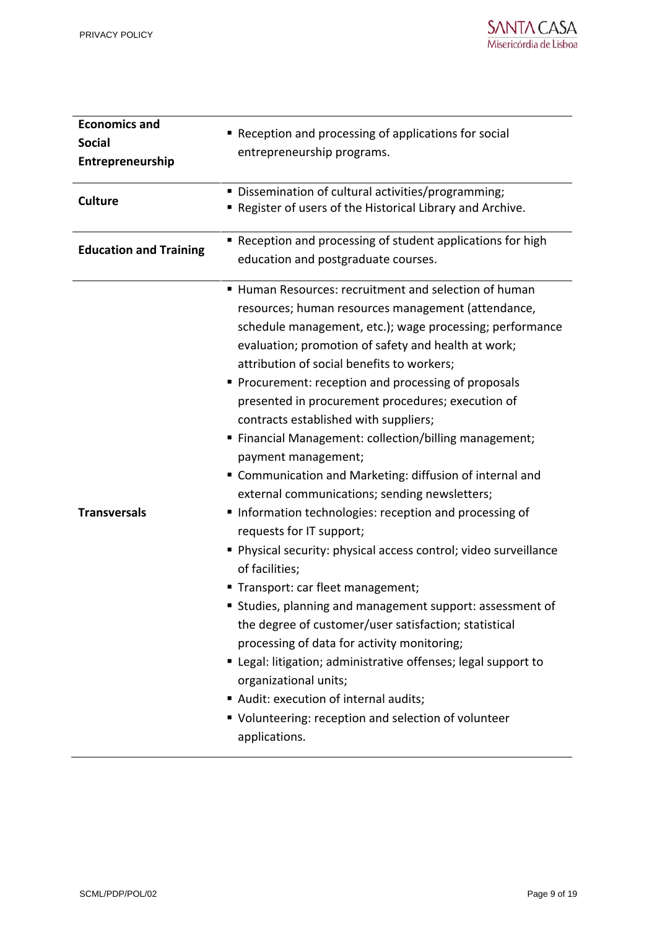| <b>Economics and</b><br><b>Social</b><br>Entrepreneurship | Reception and processing of applications for social<br>entrepreneurship programs.                                                                                                                                                                                                                                                                                                                                                                                                                                                                                                                                                                                                                                                                                                                                                                                                                                                                                                                                                                                                                                                                                                                                              |
|-----------------------------------------------------------|--------------------------------------------------------------------------------------------------------------------------------------------------------------------------------------------------------------------------------------------------------------------------------------------------------------------------------------------------------------------------------------------------------------------------------------------------------------------------------------------------------------------------------------------------------------------------------------------------------------------------------------------------------------------------------------------------------------------------------------------------------------------------------------------------------------------------------------------------------------------------------------------------------------------------------------------------------------------------------------------------------------------------------------------------------------------------------------------------------------------------------------------------------------------------------------------------------------------------------|
| <b>Culture</b>                                            | Dissemination of cultural activities/programming;<br>Register of users of the Historical Library and Archive.                                                                                                                                                                                                                                                                                                                                                                                                                                                                                                                                                                                                                                                                                                                                                                                                                                                                                                                                                                                                                                                                                                                  |
| <b>Education and Training</b>                             | Reception and processing of student applications for high<br>education and postgraduate courses.                                                                                                                                                                                                                                                                                                                                                                                                                                                                                                                                                                                                                                                                                                                                                                                                                                                                                                                                                                                                                                                                                                                               |
| <b>Transversals</b>                                       | ■ Human Resources: recruitment and selection of human<br>resources; human resources management (attendance,<br>schedule management, etc.); wage processing; performance<br>evaluation; promotion of safety and health at work;<br>attribution of social benefits to workers;<br>Procurement: reception and processing of proposals<br>presented in procurement procedures; execution of<br>contracts established with suppliers;<br>■ Financial Management: collection/billing management;<br>payment management;<br>" Communication and Marketing: diffusion of internal and<br>external communications; sending newsletters;<br>Information technologies: reception and processing of<br>requests for IT support;<br>Physical security: physical access control; video surveillance<br>of facilities;<br>" Transport: car fleet management;<br>" Studies, planning and management support: assessment of<br>the degree of customer/user satisfaction; statistical<br>processing of data for activity monitoring;<br>" Legal: litigation; administrative offenses; legal support to<br>organizational units;<br>Audit: execution of internal audits;<br>" Volunteering: reception and selection of volunteer<br>applications. |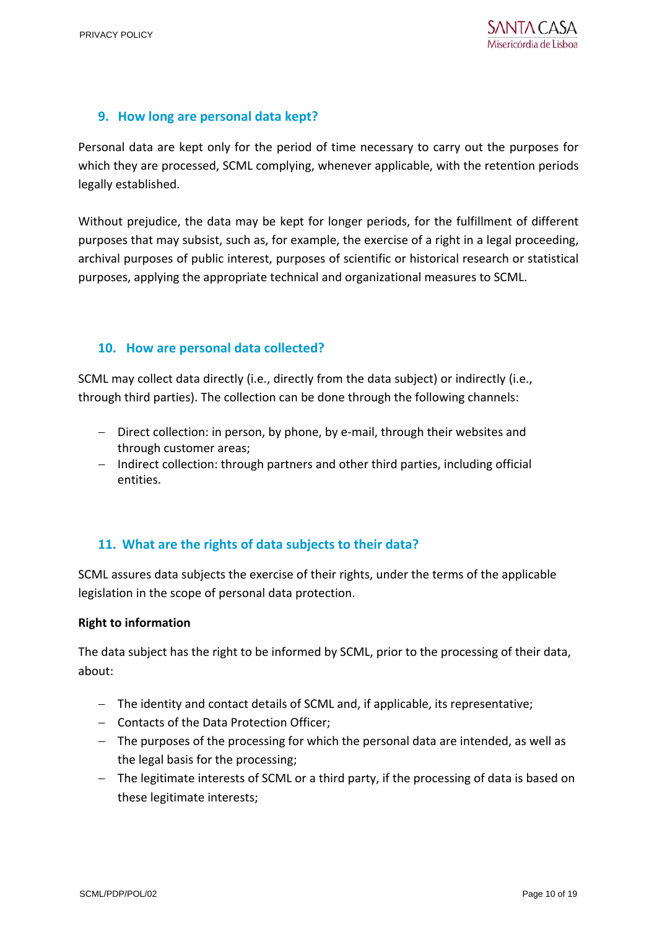# **9. How long are personal data kept?**

Personal data are kept only for the period of time necessary to carry out the purposes for which they are processed, SCML complying, whenever applicable, with the retention periods legally established.

Without prejudice, the data may be kept for longer periods, for the fulfillment of different purposes that may subsist, such as, for example, the exercise of a right in a legal proceeding, archival purposes of public interest, purposes of scientific or historical research or statistical purposes, applying the appropriate technical and organizational measures to SCML.

# **10. How are personal data collected?**

SCML may collect data directly (i.e., directly from the data subject) or indirectly (i.e., through third parties). The collection can be done through the following channels:

- Direct collection: in person, by phone, by e-mail, through their websites and through customer areas;
- Indirect collection: through partners and other third parties, including official entities.

# **11. What are the rights of data subjects to their data?**

SCML assures data subjects the exercise of their rights, under the terms of the applicable legislation in the scope of personal data protection.

## **Right to information**

The data subject has the right to be informed by SCML, prior to the processing of their data, about:

- The identity and contact details of SCML and, if applicable, its representative;
- Contacts of the Data Protection Officer;
- The purposes of the processing for which the personal data are intended, as well as the legal basis for the processing;
- The legitimate interests of SCML or a third party, if the processing of data is based on these legitimate interests;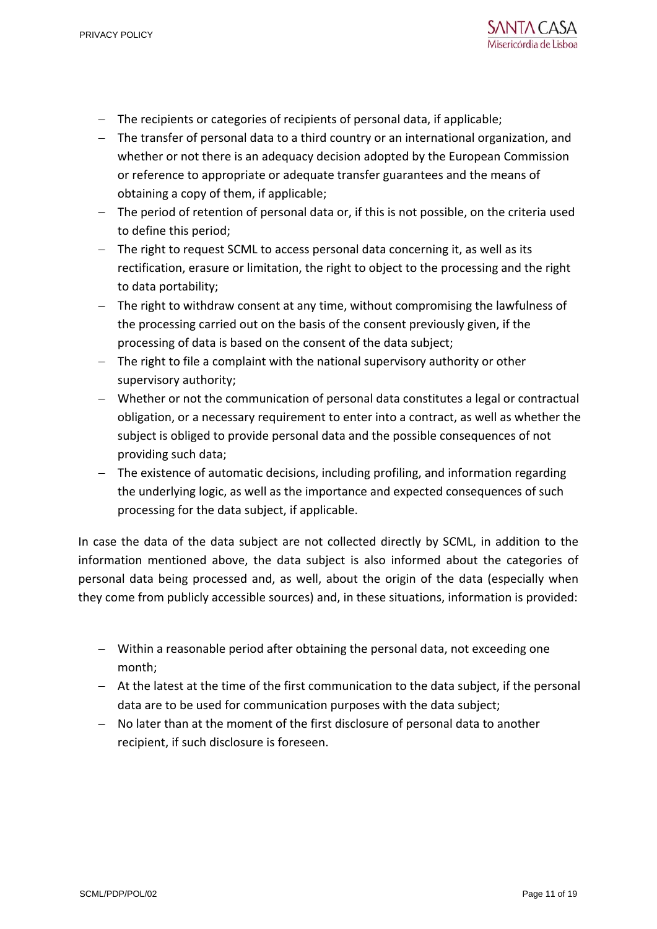- The recipients or categories of recipients of personal data, if applicable;
- The transfer of personal data to a third country or an international organization, and whether or not there is an adequacy decision adopted by the European Commission or reference to appropriate or adequate transfer guarantees and the means of obtaining a copy of them, if applicable;
- The period of retention of personal data or, if this is not possible, on the criteria used to define this period;
- The right to request SCML to access personal data concerning it, as well as its rectification, erasure or limitation, the right to object to the processing and the right to data portability;
- The right to withdraw consent at any time, without compromising the lawfulness of the processing carried out on the basis of the consent previously given, if the processing of data is based on the consent of the data subject;
- The right to file a complaint with the national supervisory authority or other supervisory authority;
- Whether or not the communication of personal data constitutes a legal or contractual obligation, or a necessary requirement to enter into a contract, as well as whether the subject is obliged to provide personal data and the possible consequences of not providing such data;
- The existence of automatic decisions, including profiling, and information regarding the underlying logic, as well as the importance and expected consequences of such processing for the data subject, if applicable.

In case the data of the data subject are not collected directly by SCML, in addition to the information mentioned above, the data subject is also informed about the categories of personal data being processed and, as well, about the origin of the data (especially when they come from publicly accessible sources) and, in these situations, information is provided:

- Within a reasonable period after obtaining the personal data, not exceeding one month;
- At the latest at the time of the first communication to the data subject, if the personal data are to be used for communication purposes with the data subject;
- No later than at the moment of the first disclosure of personal data to another recipient, if such disclosure is foreseen.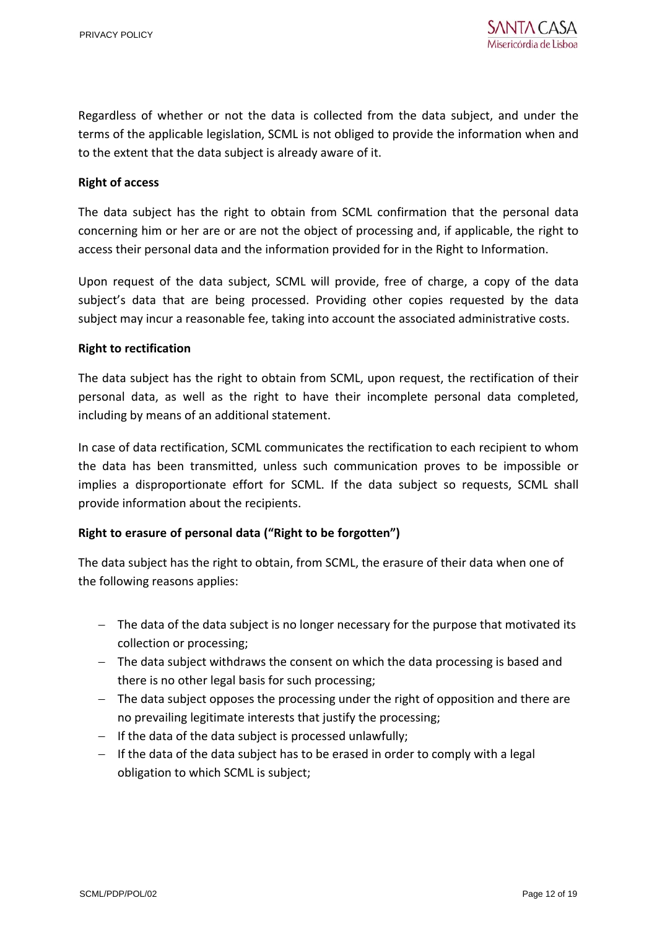Regardless of whether or not the data is collected from the data subject, and under the terms of the applicable legislation, SCML is not obliged to provide the information when and to the extent that the data subject is already aware of it.

#### **Right of access**

The data subject has the right to obtain from SCML confirmation that the personal data concerning him or her are or are not the object of processing and, if applicable, the right to access their personal data and the information provided for in the Right to Information.

Upon request of the data subject, SCML will provide, free of charge, a copy of the data subject's data that are being processed. Providing other copies requested by the data subject may incur a reasonable fee, taking into account the associated administrative costs.

#### **Right to rectification**

The data subject has the right to obtain from SCML, upon request, the rectification of their personal data, as well as the right to have their incomplete personal data completed, including by means of an additional statement.

In case of data rectification, SCML communicates the rectification to each recipient to whom the data has been transmitted, unless such communication proves to be impossible or implies a disproportionate effort for SCML. If the data subject so requests, SCML shall provide information about the recipients.

## **Right to erasure of personal data ("Right to be forgotten")**

The data subject has the right to obtain, from SCML, the erasure of their data when one of the following reasons applies:

- $-$  The data of the data subject is no longer necessary for the purpose that motivated its collection or processing;
- $-$  The data subject withdraws the consent on which the data processing is based and there is no other legal basis for such processing;
- $-$  The data subject opposes the processing under the right of opposition and there are no prevailing legitimate interests that justify the processing;
- $-I$  If the data of the data subject is processed unlawfully;
- $-$  If the data of the data subject has to be erased in order to comply with a legal obligation to which SCML is subject;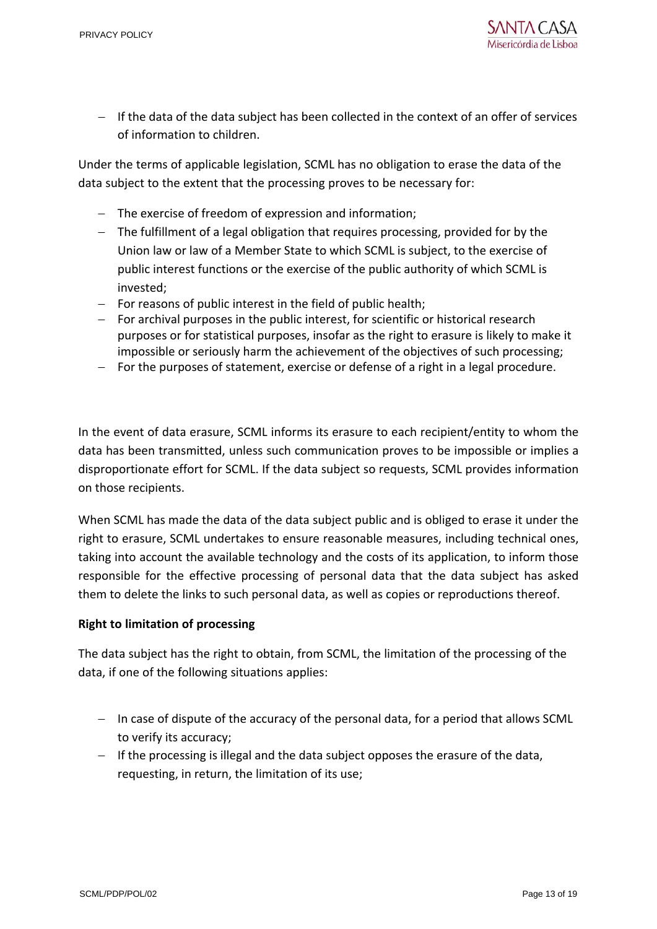

 $-I$  If the data of the data subject has been collected in the context of an offer of services of information to children.

Under the terms of applicable legislation, SCML has no obligation to erase the data of the data subject to the extent that the processing proves to be necessary for:

- The exercise of freedom of expression and information;
- The fulfillment of a legal obligation that requires processing, provided for by the Union law or law of a Member State to which SCML is subject, to the exercise of public interest functions or the exercise of the public authority of which SCML is invested;
- $-$  For reasons of public interest in the field of public health;
- $-$  For archival purposes in the public interest, for scientific or historical research purposes or for statistical purposes, insofar as the right to erasure is likely to make it impossible or seriously harm the achievement of the objectives of such processing;
- $-$  For the purposes of statement, exercise or defense of a right in a legal procedure.

In the event of data erasure, SCML informs its erasure to each recipient/entity to whom the data has been transmitted, unless such communication proves to be impossible or implies a disproportionate effort for SCML. If the data subject so requests, SCML provides information on those recipients.

When SCML has made the data of the data subject public and is obliged to erase it under the right to erasure, SCML undertakes to ensure reasonable measures, including technical ones, taking into account the available technology and the costs of its application, to inform those responsible for the effective processing of personal data that the data subject has asked them to delete the links to such personal data, as well as copies or reproductions thereof.

#### **Right to limitation of processing**

The data subject has the right to obtain, from SCML, the limitation of the processing of the data, if one of the following situations applies:

- $-$  In case of dispute of the accuracy of the personal data, for a period that allows SCML to verify its accuracy;
- $-I$  If the processing is illegal and the data subject opposes the erasure of the data, requesting, in return, the limitation of its use;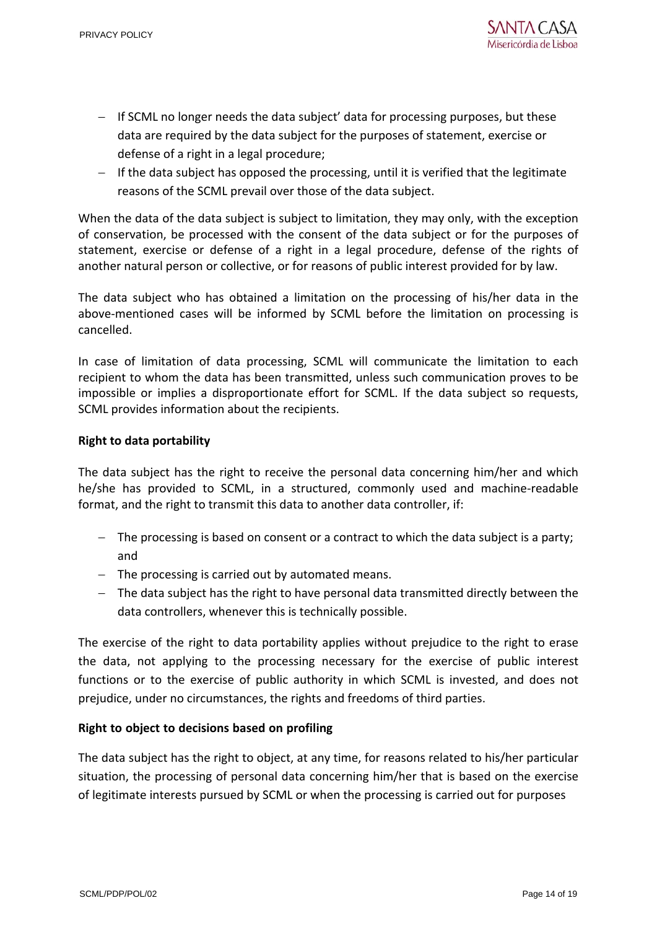- $-I$  If SCML no longer needs the data subject' data for processing purposes, but these data are required by the data subject for the purposes of statement, exercise or defense of a right in a legal procedure;
- $-I$  If the data subject has opposed the processing, until it is verified that the legitimate reasons of the SCML prevail over those of the data subject.

When the data of the data subject is subject to limitation, they may only, with the exception of conservation, be processed with the consent of the data subject or for the purposes of statement, exercise or defense of a right in a legal procedure, defense of the rights of another natural person or collective, or for reasons of public interest provided for by law.

The data subject who has obtained a limitation on the processing of his/her data in the above-mentioned cases will be informed by SCML before the limitation on processing is cancelled.

In case of limitation of data processing, SCML will communicate the limitation to each recipient to whom the data has been transmitted, unless such communication proves to be impossible or implies a disproportionate effort for SCML. If the data subject so requests, SCML provides information about the recipients.

#### **Right to data portability**

The data subject has the right to receive the personal data concerning him/her and which he/she has provided to SCML, in a structured, commonly used and machine-readable format, and the right to transmit this data to another data controller, if:

- $-$  The processing is based on consent or a contract to which the data subject is a party; and
- $-$  The processing is carried out by automated means.
- The data subject has the right to have personal data transmitted directly between the data controllers, whenever this is technically possible.

The exercise of the right to data portability applies without prejudice to the right to erase the data, not applying to the processing necessary for the exercise of public interest functions or to the exercise of public authority in which SCML is invested, and does not prejudice, under no circumstances, the rights and freedoms of third parties.

## **Right to object to decisions based on profiling**

The data subject has the right to object, at any time, for reasons related to his/her particular situation, the processing of personal data concerning him/her that is based on the exercise of legitimate interests pursued by SCML or when the processing is carried out for purposes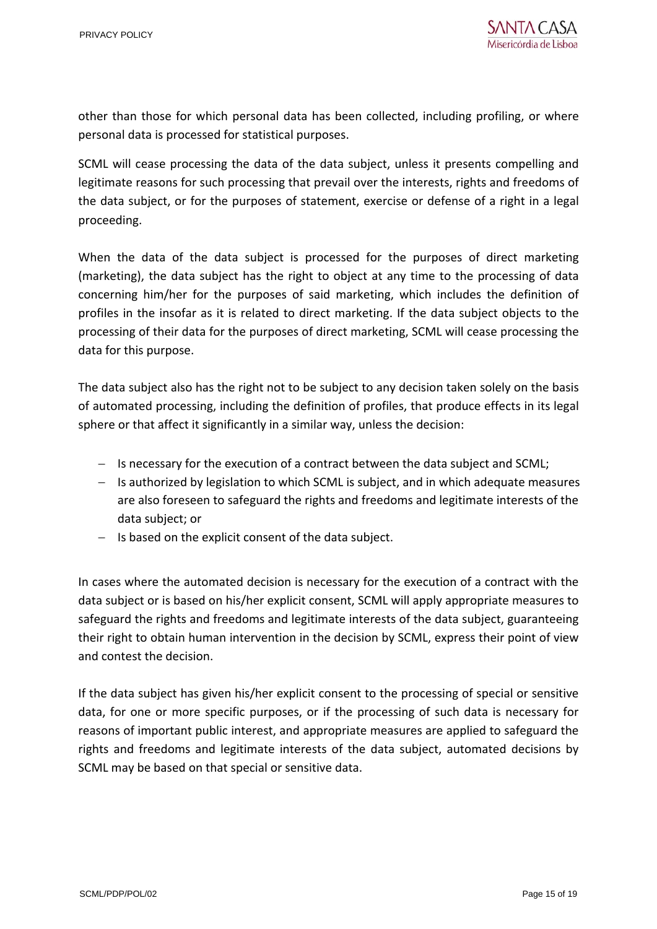other than those for which personal data has been collected, including profiling, or where personal data is processed for statistical purposes.

SCML will cease processing the data of the data subject, unless it presents compelling and legitimate reasons for such processing that prevail over the interests, rights and freedoms of the data subject, or for the purposes of statement, exercise or defense of a right in a legal proceeding.

When the data of the data subject is processed for the purposes of direct marketing (marketing), the data subject has the right to object at any time to the processing of data concerning him/her for the purposes of said marketing, which includes the definition of profiles in the insofar as it is related to direct marketing. If the data subject objects to the processing of their data for the purposes of direct marketing, SCML will cease processing the data for this purpose.

The data subject also has the right not to be subject to any decision taken solely on the basis of automated processing, including the definition of profiles, that produce effects in its legal sphere or that affect it significantly in a similar way, unless the decision:

- $-$  Is necessary for the execution of a contract between the data subject and SCML;
- $-$  Is authorized by legislation to which SCML is subject, and in which adequate measures are also foreseen to safeguard the rights and freedoms and legitimate interests of the data subject; or
- $-$  Is based on the explicit consent of the data subject.

In cases where the automated decision is necessary for the execution of a contract with the data subject or is based on his/her explicit consent, SCML will apply appropriate measures to safeguard the rights and freedoms and legitimate interests of the data subject, guaranteeing their right to obtain human intervention in the decision by SCML, express their point of view and contest the decision.

If the data subject has given his/her explicit consent to the processing of special or sensitive data, for one or more specific purposes, or if the processing of such data is necessary for reasons of important public interest, and appropriate measures are applied to safeguard the rights and freedoms and legitimate interests of the data subject, automated decisions by SCML may be based on that special or sensitive data.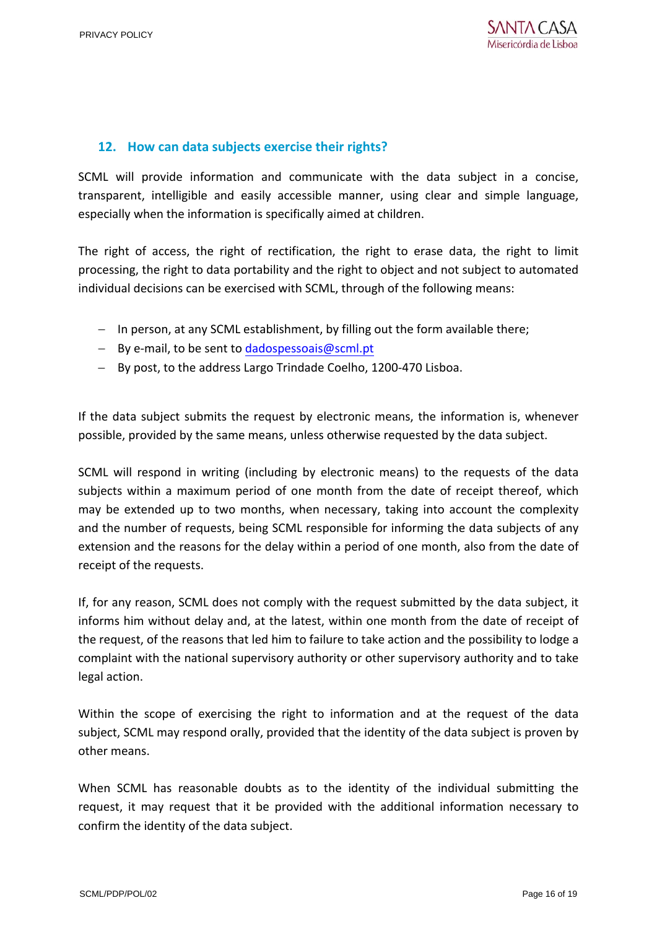# **12. How can data subjects exercise their rights?**

SCML will provide information and communicate with the data subject in a concise, transparent, intelligible and easily accessible manner, using clear and simple language, especially when the information is specifically aimed at children.

The right of access, the right of rectification, the right to erase data, the right to limit processing, the right to data portability and the right to object and not subject to automated individual decisions can be exercised with SCML, through of the following means:

- $-$  In person, at any SCML establishment, by filling out the form available there;
- $-$  By e-mail, to be sent t[o dadospessoais@scml.pt](mailto:dadospessoais@scml.pt)
- By post, to the address Largo Trindade Coelho, 1200-470 Lisboa.

If the data subject submits the request by electronic means, the information is, whenever possible, provided by the same means, unless otherwise requested by the data subject.

SCML will respond in writing (including by electronic means) to the requests of the data subjects within a maximum period of one month from the date of receipt thereof, which may be extended up to two months, when necessary, taking into account the complexity and the number of requests, being SCML responsible for informing the data subjects of any extension and the reasons for the delay within a period of one month, also from the date of receipt of the requests.

If, for any reason, SCML does not comply with the request submitted by the data subject, it informs him without delay and, at the latest, within one month from the date of receipt of the request, of the reasons that led him to failure to take action and the possibility to lodge a complaint with the national supervisory authority or other supervisory authority and to take legal action.

Within the scope of exercising the right to information and at the request of the data subject, SCML may respond orally, provided that the identity of the data subject is proven by other means.

When SCML has reasonable doubts as to the identity of the individual submitting the request, it may request that it be provided with the additional information necessary to confirm the identity of the data subject.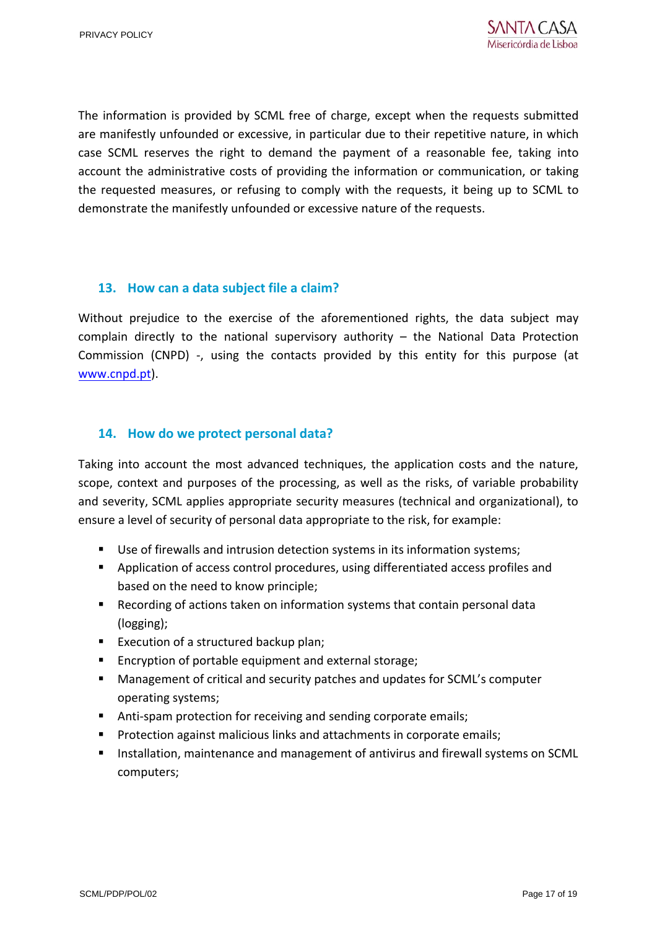The information is provided by SCML free of charge, except when the requests submitted are manifestly unfounded or excessive, in particular due to their repetitive nature, in which case SCML reserves the right to demand the payment of a reasonable fee, taking into account the administrative costs of providing the information or communication, or taking the requested measures, or refusing to comply with the requests, it being up to SCML to demonstrate the manifestly unfounded or excessive nature of the requests.

## **13. How can a data subject file a claim?**

Without prejudice to the exercise of the aforementioned rights, the data subject may complain directly to the national supervisory authority – the National Data Protection Commission (CNPD) -, using the contacts provided by this entity for this purpose (at [www.cnpd.pt\)](http://www.cnpd.pt/).

# **14. How do we protect personal data?**

Taking into account the most advanced techniques, the application costs and the nature, scope, context and purposes of the processing, as well as the risks, of variable probability and severity, SCML applies appropriate security measures (technical and organizational), to ensure a level of security of personal data appropriate to the risk, for example:

- Use of firewalls and intrusion detection systems in its information systems;
- Application of access control procedures, using differentiated access profiles and based on the need to know principle;
- Recording of actions taken on information systems that contain personal data (logging);
- Execution of a structured backup plan;
- **Encryption of portable equipment and external storage;**
- Management of critical and security patches and updates for SCML's computer operating systems;
- Anti-spam protection for receiving and sending corporate emails;
- **Protection against malicious links and attachments in corporate emails;**
- **Installation, maintenance and management of antivirus and firewall systems on SCML** computers;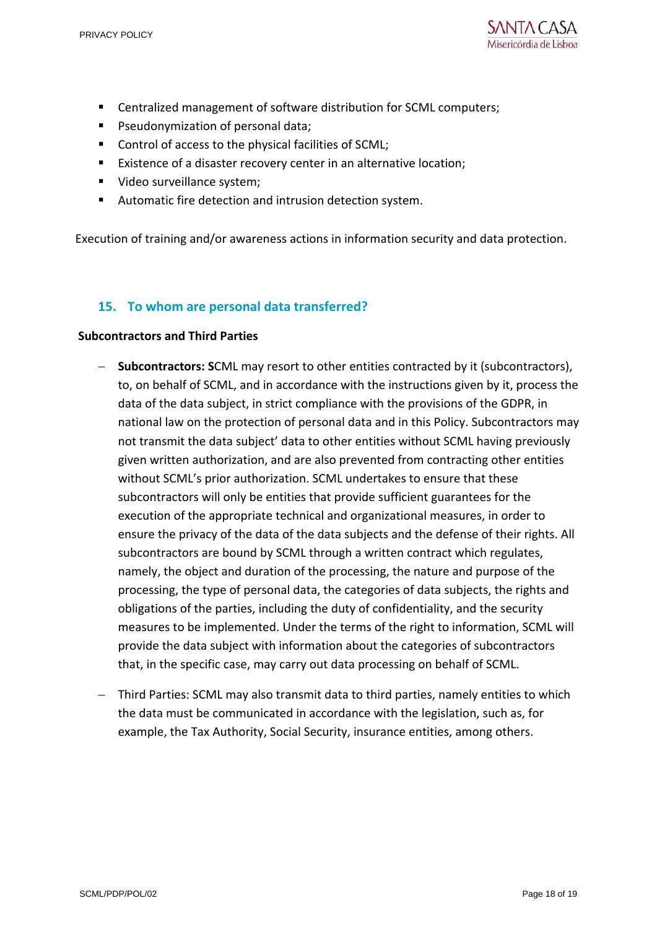

- Centralized management of software distribution for SCML computers;
- **Pseudonymization of personal data;**
- Control of access to the physical facilities of SCML;
- **Existence of a disaster recovery center in an alternative location;**
- Video surveillance system;
- Automatic fire detection and intrusion detection system.

Execution of training and/or awareness actions in information security and data protection.

# **15. To whom are personal data transferred?**

### **Subcontractors and Third Parties**

- **Subcontractors: S**CML may resort to other entities contracted by it (subcontractors), to, on behalf of SCML, and in accordance with the instructions given by it, process the data of the data subject, in strict compliance with the provisions of the GDPR, in national law on the protection of personal data and in this Policy. Subcontractors may not transmit the data subject' data to other entities without SCML having previously given written authorization, and are also prevented from contracting other entities without SCML's prior authorization. SCML undertakes to ensure that these subcontractors will only be entities that provide sufficient guarantees for the execution of the appropriate technical and organizational measures, in order to ensure the privacy of the data of the data subjects and the defense of their rights. All subcontractors are bound by SCML through a written contract which regulates, namely, the object and duration of the processing, the nature and purpose of the processing, the type of personal data, the categories of data subjects, the rights and obligations of the parties, including the duty of confidentiality, and the security measures to be implemented. Under the terms of the right to information, SCML will provide the data subject with information about the categories of subcontractors that, in the specific case, may carry out data processing on behalf of SCML.
- Third Parties: SCML may also transmit data to third parties, namely entities to which the data must be communicated in accordance with the legislation, such as, for example, the Tax Authority, Social Security, insurance entities, among others.